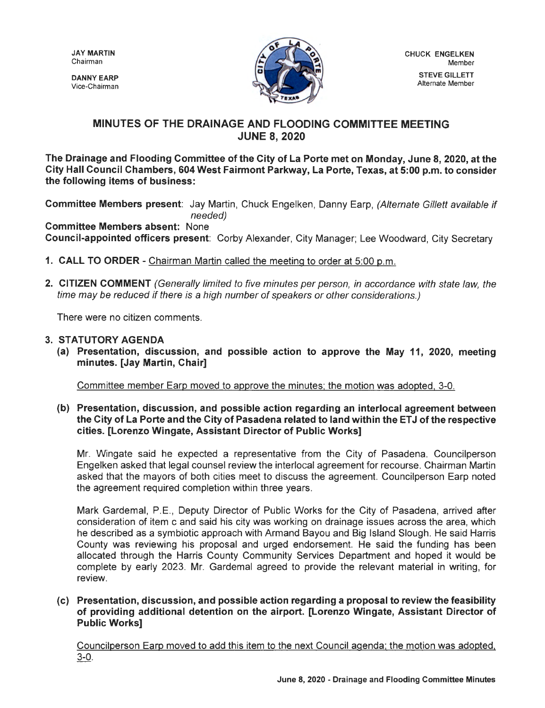JAY MARTIN Chairman

DANNY EARP Vice-Chairman



## **MINUTES OF THE DRAINAGE AND FLOODING COMMITTEE MEETING JUNE 8, 2020**

**The Drainage and Flooding Committee of the City of La Porte met on Monday, June 8, 2020, at the City Hall Council Chambers, 604 West Fairmont Parkway, La Porte, Texas, at 5:00 p.m. to consider the following items of business:** 

**Committee Members present:** Jay Martin, Chuck Engelken, Danny Earp, (Alternate Gillett available if needed)

**Committee Members absent:** None **Council-appointed officers present:** Corby Alexander, City Manager; Lee Woodward, City Secretary

- **1. CALL TO ORDER**  Chairman Martin called the meeting to order at 5:00 p.m.
- **2. CITIZEN COMMENT** (Generally limited to five minutes per person, in accordance with state law, the time may be reduced if there is a high number of speakers or other considerations.)

There were no citizen comments.

- **3. STATUTORY AGENDA** 
	- **(a) Presentation, discussion, and possible action to approve the May 11, 2020, meeting minutes. [Jay Martin, Chair]**

Committee member Earp moved to approve the minutes; the motion was adopted, 3-0.

**(b) Presentation, discussion, and possible action regarding an interlocal agreement between the City of La Porte and the City of Pasadena related to land within the ET J of the respective cities. [Lorenzo Wingate, Assistant Director of Public Works]** 

Mr. Wingate said he expected a representative from the City of Pasadena. Councilperson Engelken asked that legal counsel review the interlocal agreement for recourse. Chairman Martin asked that the mayors of both cities meet to discuss the agreement. Councilperson Earp noted the agreement required completion within three years.

Mark Gardemal, P.E., Deputy Director of Public Works for the City of Pasadena, arrived after consideration of item c and said his city was working on drainage issues across the area, which he described as a symbiotic approach with Armand Bayou and Big Island Slough. He said Harris County was reviewing his proposal and urged endorsement. He said the funding has been allocated through the Harris County Community Services Department and hoped it would be complete by early 2023. Mr. Gardemal agreed to provide the relevant material in writing, for review.

**(c) Presentation, discussion, and possible action regarding a proposal to review the feasibility of providing additional detention on the airport. [Lorenzo Wingate, Assistant Director of Public Works]** 

Councilperson Earp moved to add this item to the next Council agenda; the motion was adopted, 3-0.